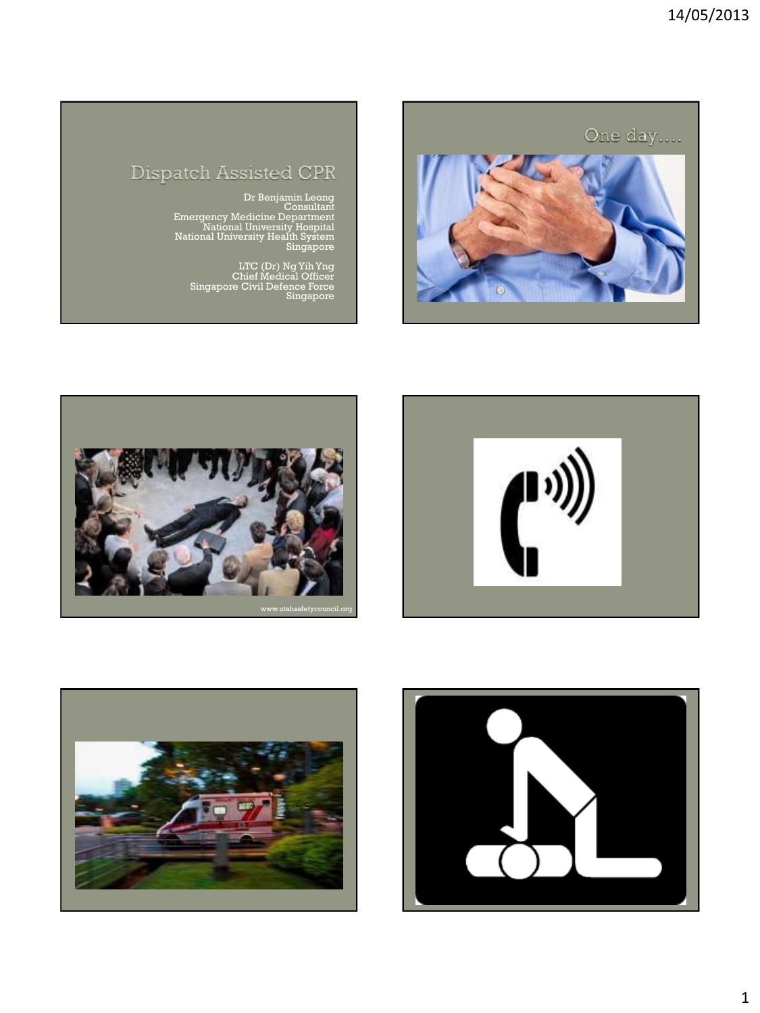

## Dispatch Assisted CPR

Dr Benjamin Leong<br>Consultant<br>Emergency Medicine Department<br>National University Hospital<br>National University Health System<br>Singapore

LTC (Dr) Ng Yih Yng Chief Medical Officer Singapore Civil Defence Force Singapore







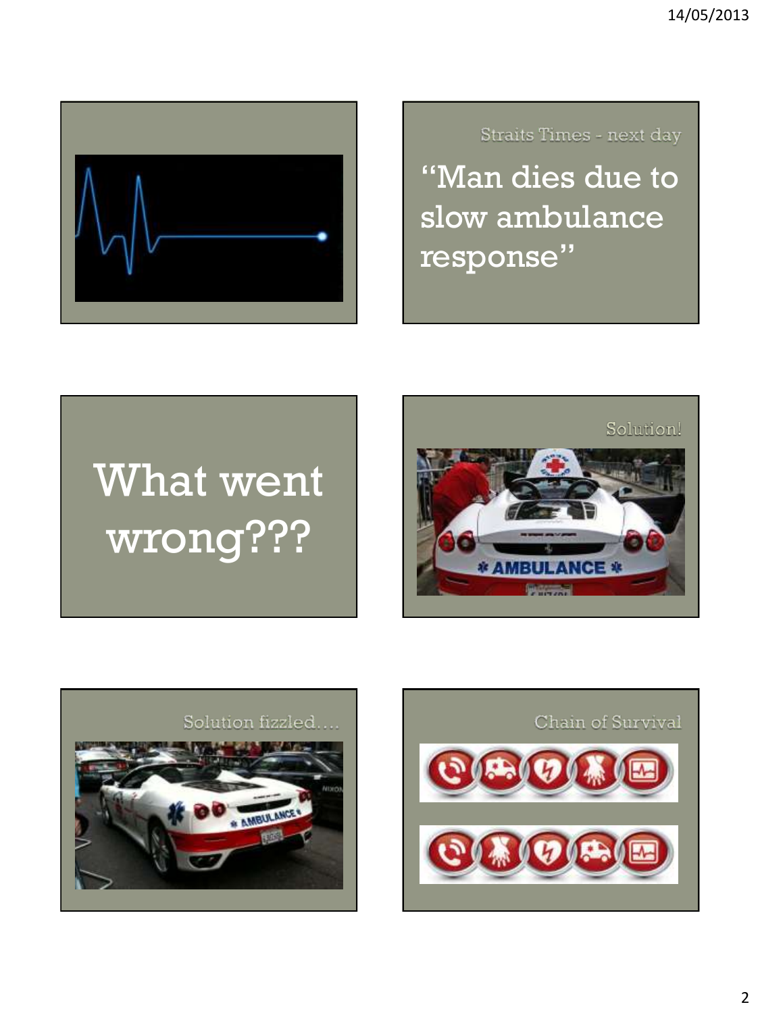

Straits Times - next day

"Man dies due to slow ambulance response"

# What went wrong???





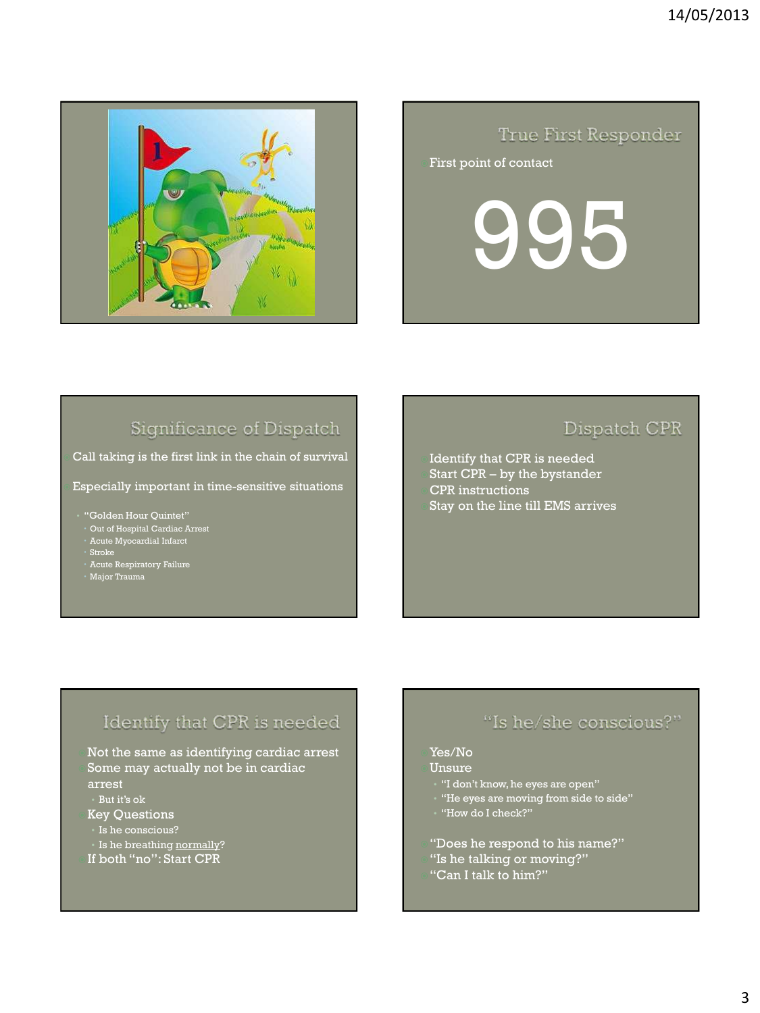

#### True First Responder

#### First point of contact

995

#### Significance of Dispatch

 Call taking is the first link in the chain of survival Especially important in time-sensitive situations

• "Golden Hour Quintet"

- Out of Hospital Cardiac Arrest
- Acute Myocardial Infarct
- Stroke
- Acute Respiratory Failure
- Major Trauma

#### Dispatch CPR

Identify that CPR is needed Start CPR – by the bystander CPR instructions Stay on the line till EMS arrives

#### Identify that CPR is needed

Not the same as identifying cardiac arrest Some may actually not be in cardiac arrest

- But it's ok
- Key Questions
- Is he conscious?
- Is he breathing normally?
- If both "no": Start CPR

#### "Is he/she conscious?"

#### Yes/No

Unsure

- "I don't know, he eyes are open"
- "He eyes are moving from side to side"
- "How do I check?"
- "Does he respond to his name?"
- "Is he talking or moving?"
- "Can I talk to him?"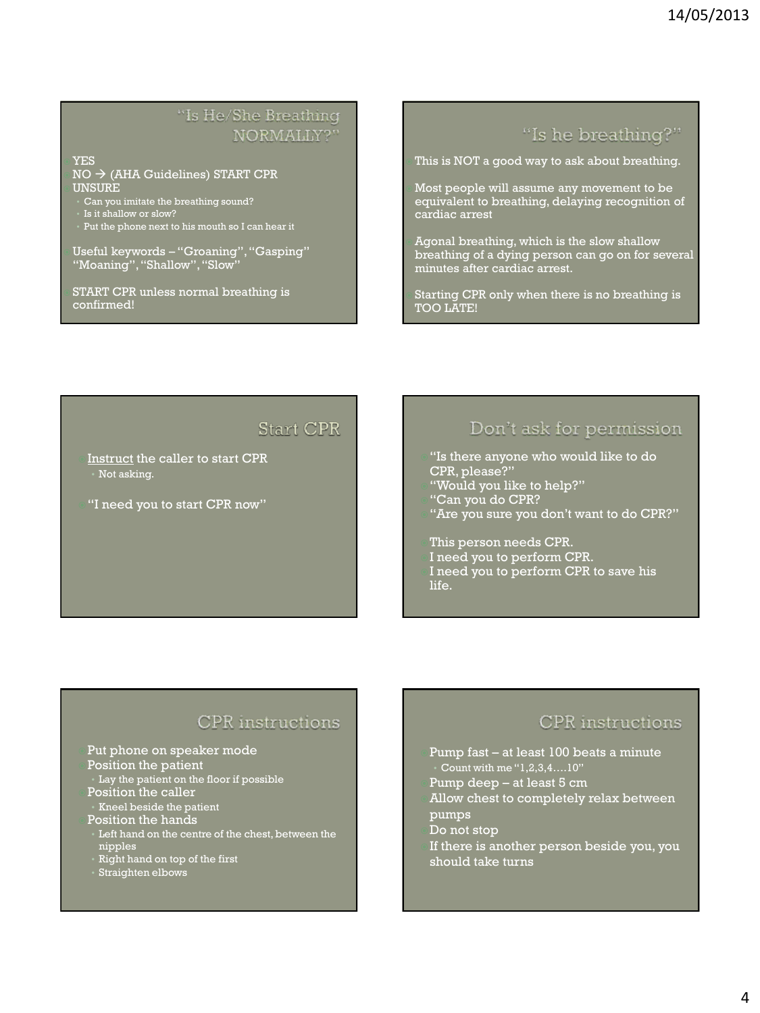#### "Is He/She Breathing NORMALLY?"

 YES  $N$ O  $\rightarrow$  (AHA Guidelines) START CPR **UNSURE** 

- Can you imitate the breathing sound?
- Is it shallow or slow?
- Put the phone next to his mouth so I can hear it

 Useful keywords – "Groaning", "Gasping" "Moaning", "Shallow", "Slow"

 START CPR unless normal breathing is confirmed!

#### "Is he breathing?"

This is NOT a good way to ask about breathing.

 Most people will assume any movement to be equivalent to breathing, delaying recognition of cardiac arrest

 Agonal breathing, which is the slow shallow breathing of a dying person can go on for several minutes after cardiac arrest.

 Starting CPR only when there is no breathing is TOO LATE!

#### **Start CPR**

- Instruct the caller to start CPR • Not asking.
- "I need you to start CPR now"

#### Don't ask for permission

- "Is there anyone who would like to do CPR, please?
- "Would you like to help?"
- "Can you do CPR?
- "Are you sure you don't want to do CPR?"

This person needs CPR.

I need you to perform CPR.

I need you to perform CPR to save his life.

#### **CPR** instructions

Put phone on speaker mode

- Position the patient
- Lay the patient on the floor if possible Position the caller
- Kneel beside the patient
- Position the hands
- Left hand on the centre of the chest, between the nipples
- Right hand on top of the first
- Straighten elbows

#### **CPR** instructions

- Pump fast at least 100 beats a minute • Count with me "1,2,3,4….10"
- Pump deep at least 5 cm
- Allow chest to completely relax between pumps
- Do not stop
- If there is another person beside you, you should take turns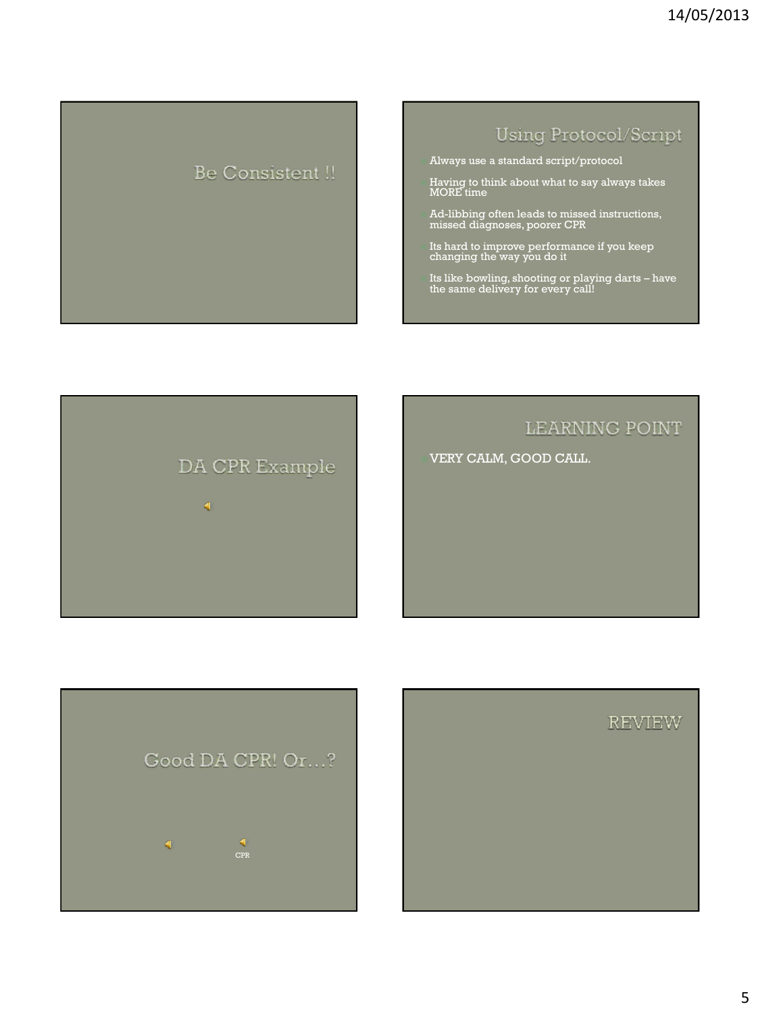## Be Consistent !!

#### **Using Protocol/Script**

- Always use a standard script/protocol
- Having to think about what to say always takes MORE time
- Ad-libbing often leads to missed instructions, missed diagnoses, poorer CPR
- Its hard to improve performance if you keep changing the way you do it
- Its like bowling, shooting or playing darts have the same delivery for every call!





VERY CALM, GOOD CALL.



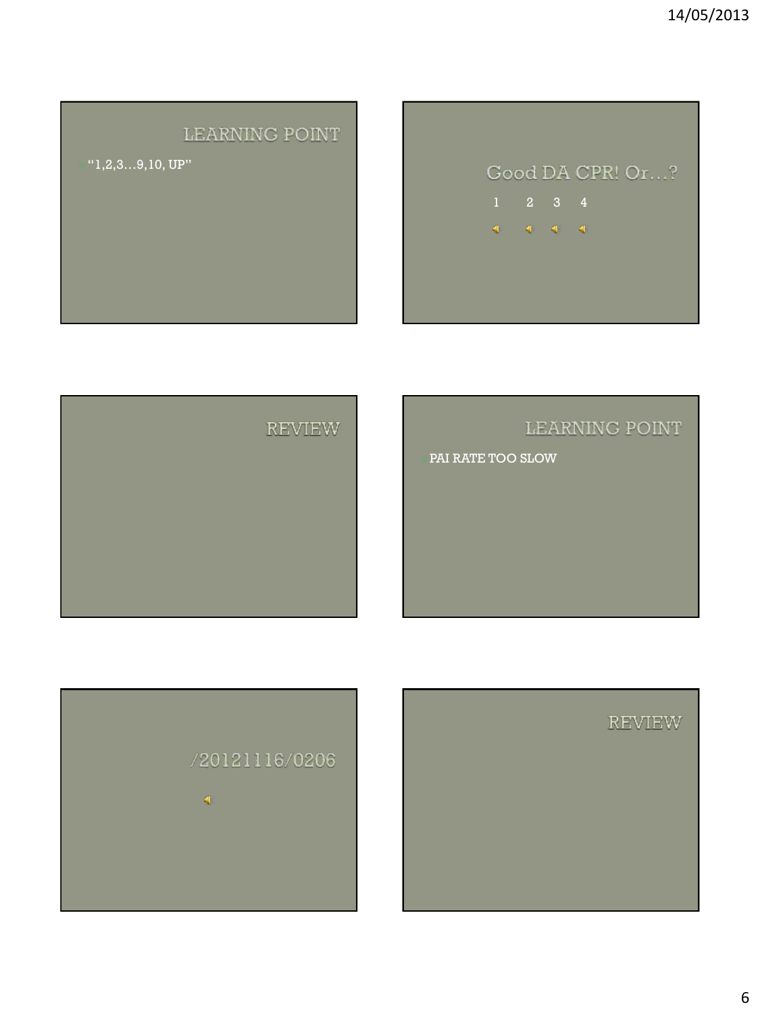#### LEARNING POINT

 $1,2,3...9,10,$  UP"

# Good DA CPR! Or...?  $d\mathbb{H}^2 = d\mathbb{H}^2 + d\mathbb{H}^2 + d\mathbb{H}$



### LEARNING POINT

PAI RATE TOO SLOW



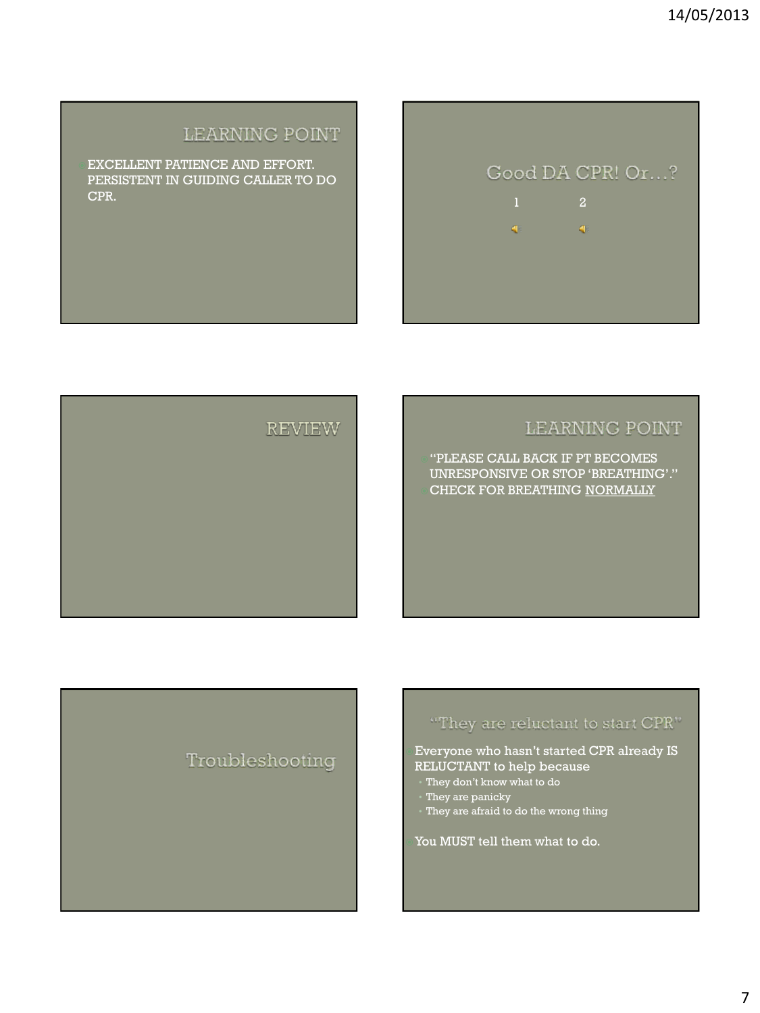#### LEARNING POINT

**REVIEW** 

EXCELLENT PATIENCE AND EFFORT. PERSISTENT IN GUIDING CALLER TO DO CPR.

#### LEARNING POINT

Good DA CPR! Or...?

 $\mathbf{q}_i$ 

40.00

"PLEASE CALL BACK IF PT BECOMES UNRESPONSIVE OR STOP 'BREATHING'." CHECK FOR BREATHING NORMALLY

#### Troubleshooting

#### "They are reluctant to start CPR"

Everyone who hasn't started CPR already IS RELUCTANT to help because

- They don't know what to do
- They are panicky
- They are afraid to do the wrong thing

You MUST tell them what to do.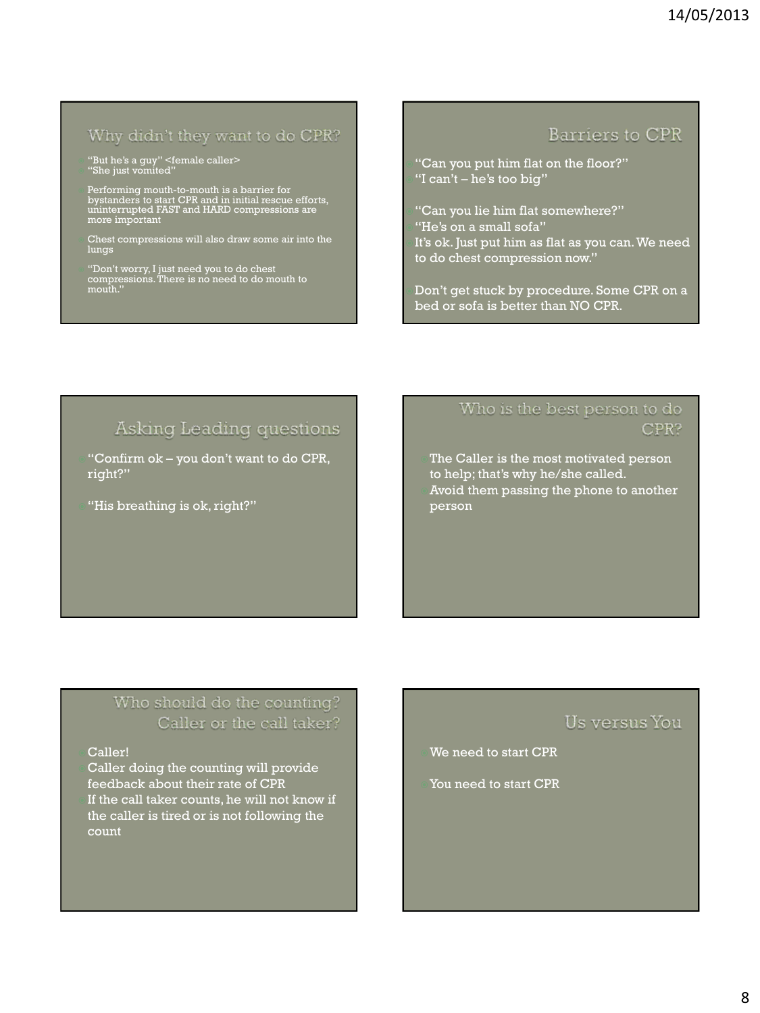#### Why didn't they want to do CPR?

"But he's a guy" <female caller> "She just vomited"

- Performing mouth-to-mouth is a barrier for bystanders to start CPR and in initial rescue efforts, uninterrupted FAST and HARD compressions are more important
- Chest compressions will also draw some air into the lungs
- "Don't worry, I just need you to do chest compressions. There is no need to do mouth to mouth."

#### Barriers to CPR

- "Can you put him flat on the floor?" "I can't – he's too big"
- "Can you lie him flat somewhere?"
- "He's on a small sofa"
- It's ok. Just put him as flat as you can. We need to do chest compression now."

Don't get stuck by procedure. Some CPR on a bed or sofa is better than NO CPR.

#### Asking Leading questions

- "Confirm ok you don't want to do CPR, right?"
- "His breathing is ok, right?"

#### Who is the best person to do CPR?

The Caller is the most motivated person to help; that's why he/she called. Avoid them passing the phone to another person

#### Who should do the counting? Caller or the call taker?

#### Caller!

Caller doing the counting will provide feedback about their rate of CPR If the call taker counts, he will not know if the caller is tired or is not following the count

#### Us versus You

We need to start CPR

You need to start CPR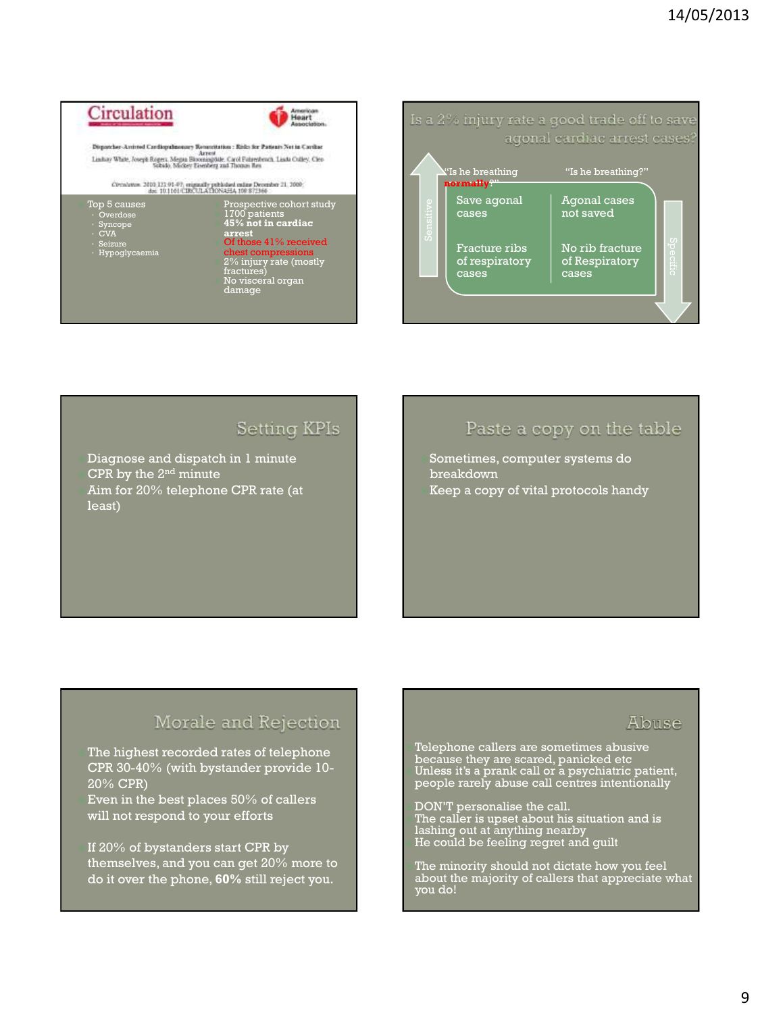



#### **Setting KPIs**

Diagnose and dispatch in 1 minute CPR by the  $2<sup>nd</sup>$  minute Aim for 20% telephone CPR rate (at least)

#### Paste a copy on the table

Sometimes, computer systems do breakdown Keep a copy of vital protocols handy

#### Morale and Rejection

The highest recorded rates of telephone CPR 30-40% (with bystander provide 10- 20% CPR) Even in the best places 50% of callers

will not respond to your efforts

If 20% of bystanders start CPR by themselves, and you can get 20% more to do it over the phone, **60%** still reject you.

#### Abuse

 Telephone callers are sometimes abusive because they are scared, panicked etc Unless it's a prank call or a psychiatric patient, people rarely abuse call centres intentionally

 DON'T personalise the call. The caller is upset about his situation and is lashing out at anything nearby He could be feeling regret and guilt

 The minority should not dictate how you feel about the majority of callers that appreciate what you do!